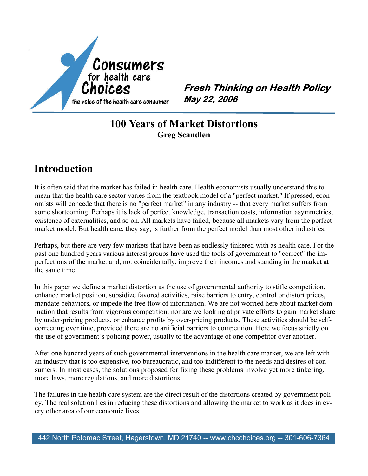

**Fresh Thinking on Health Policy** May 22, 2006

### **100 Years of Market Distortions Greg Scandlen**

# **Introduction**

It is often said that the market has failed in health care. Health economists usually understand this to mean that the health care sector varies from the textbook model of a "perfect market." If pressed, econ omists will concede that there is no "perfect market" in any industry -- that every market suffers from some shortcoming. Perhaps it is lack of perfect knowledge, transaction costs, information asymmetries, existence of externalities, and so on. All markets have failed, because all markets vary from the perfect market model. But health care, they say, is further from the perfect model than most other industries.

Perhaps, but there are very few markets that have been as endlessly tinkered with as health care. For the past one hundred years various interest groups have used the tools of government to "correct" the im perfections of the market and, not coincidentally, improve their incomes and standing in the market at the same time.

In this paper we define a market distortion as the use of governmental authority to stifle competition, enhance market position, subsidize favored activities, raise barriers to entry, control or distort prices, mandate behaviors, or impede the free flow of information. We are not worried here about market dom ination that results from vigorous competition, nor are we looking at private efforts to gain market share by under-pricing products, or enhance profits by over-pricing products. These activities should be self correcting over time, provided there are no artificial barriers to competition. Here we focus strictly on the use of government's policing power, usually to the advantage of one competitor over another.

After one hundred years of such governmental interventions in the health care market, we are left with an industry that is too expensive, too bureaucratic, and too indifferent to the needs and desires of con sumers. In most cases, the solutions proposed for fixing these problems involve yet more tinkering, more laws, more regulations, and more distortions.

The failures in the health care system are the direct result of the distortions created by government poli cy. The real solution lies in reducing these distortions and allowing the market to work as it does in ev ery other area of our economic lives.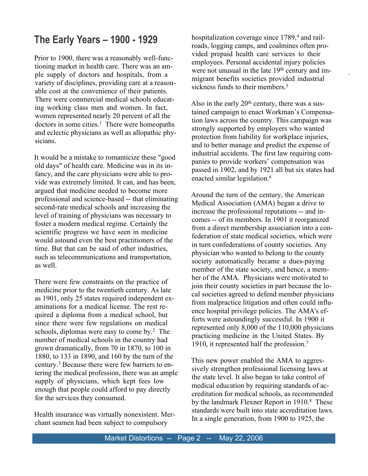# **The Early Years – 1900 - 1929**

Prior to 1900, there was a reasonably well-func tioning market in health care. There was an am ple supply of doctors and hospitals, from a variety of disciplines, providing care at a reason able cost at the convenience of their patients. There were commercial medical schools educat ing working class men and women. In fact women represented nearly 20 percent of all the  $dotors$  in some cities.<sup>1</sup> There were homeopaths and eclectic physicians as well as allopathic phy sicians.

It would be a mistake to romanticize these "good old days" of health care. Medicine was in its in fancy, and the care physicians were able to pro vide was extremely limited. It can, and has been, argued that medicine needed to become more professional and science-based -- that eliminating second-rate medical schools and increasing the level of training of physicians was necessary to foster a modern medical regime. Certainly the scientific progress we have seen in medicine would astound even the best practitioners of the time. But that can be said of other industries, such as telecommunications and transportation, as well.

There were few constraints on the practice of medicine prior to the twentieth century. As late as 1901, only 25 states required independent ex aminations for a medical license. The rest re quired a diploma from a medical school, but since there were few regulations on medical schools, diplomas were easy to come by.2 The number of medical schools in the country had grown dramatically, from 70 in 1870, to 100 in 1880, to 133 in 1890, and 160 by the turn of the century.3 Because there were few barriers to en tering the medical profession, there was an ample supply of physicians, which kept fees low enough that people could afford to pay directly for the services they consumed.

Health insurance was virtually nonexistent. Mer chant seamen had been subject to compulsory

hospitalization coverage since 1789,<sup>4</sup> and railroads, logging camps, and coalmines often pro vided prepaid health care services to their employees. Personal accidental injury policies were not unusual in the late 19<sup>th</sup> century and immigrant benefits societies provided industrial sickness funds to their members.<sup>5</sup>

Also in the early  $20<sup>th</sup>$  century, there was a sustained campaign to enact Workman's Compensa tion laws across the country. This campaign was strongly supported by employers who wanted protection from liability for workplace injuries, and to better manage and predict the expense of industrial accidents. The first law requiring com panies to provide workers' compensation was passed in 1902, and by 1921 all but six states had enacted similar legislation.<sup>6</sup>

Around the turn of the century, the American Medical Association (AMA) began a drive to increase the professional reputations -- and in comes -- of its members. In 1901 it reorganized from a direct membership association into a con federation of state medical societies, which were in turn confederations of county societies. Any physician who wanted to belong to the county society automatically became a dues-paying member of the state society, and hence, a mem ber of the AMA. Physicians were motivated to join their county societies in part because the lo cal societies agreed to defend member physicians from malpractice litigation and often could influ ence hospital privilege policies. The AMA's ef forts were astoundingly successful. In 1900 it represented only 8,000 of the 110,000 physicians practicing medicine in the United States. By 1910, it represented half the profession.<sup>7</sup>

This new power enabled the AMA to aggres sively strengthen professional licensing laws at the state level. It also began to take control of medical education by requiring standards of ac creditation for medical schools, as recommended by the landmark Flexner Report in 1910.8 These standards were built into state accreditation laws. In a single generation, from 1900 to 1925, the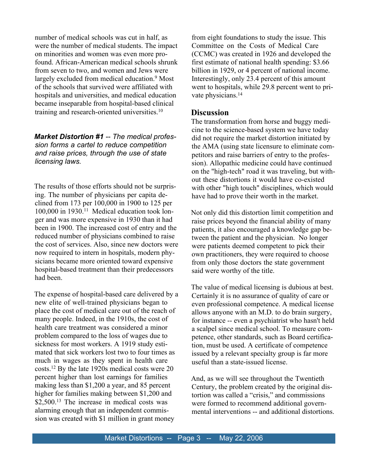number of medical schools was cut in half, as were the number of medical students. The impact on minorities and women was even more pro found. African-American medical schools shrunk from seven to two, and women and Jews were largely excluded from medical education.<sup>9</sup> Most of the schools that survived were affiliated with hospitals and universities, and medical education became inseparable from hospital-based clinical training and research-oriented universities.10

#### *Market Distortion #1-- The medical profes sion forms a cartel to reduce competition and raise prices, through the use of state licensing laws.*

The results of those efforts should not be surpris ing. The number of physicians per capita de clined from 173 per 100,000 in 1900 to 125 per 100,000 in 1930.11 Medical education took lon ger and was more expensive in 1930 than it had been in 1900. The increased cost of entry and the reduced number of physicians combined to raise the cost of services. Also, since new doctors were now required to intern in hospitals, modern phy sicians became more oriented toward expensive hospital-based treatment than their predecessors had been.

The expense of hospital-based care delivered by a new elite of well-trained physicians began to place the cost of medical care out of the reach of many people. Indeed, in the 1910s, the cost of health care treatment was considered a minor problem compared to the loss of wages due to sickness for most workers. A 1919 study esti mated that sick workers lost two to four times as much in wages as they spent in health care costs.12 By the late 1920s medical costs were 20 percent higher than lost earnings for families making less than \$1,200 a year, and 85 percent higher for families making between \$1,200 and \$2,500.<sup>13</sup> The increase in medical costs was alarming enough that an independent commis sion was created with \$1 million in grant money

from eight foundations to study the issue. This Committee on the Costs of Medical Care (CCMC) was created in 1926 and developed the first estimate of national health spending: \$3.66 billion in 1929, or 4 percent of national income. Interestingly, only 23.4 percent of this amount went to hospitals, while 29.8 percent went to private physicians.<sup>14</sup>

### **Discussion**

The transformation from horse and buggy medi cine to the science-based system we have today did not require the market distortion initiated by the AMA (using state licensure to eliminate com petitors and raise barriers of entry to the profes sion). Allopathic medicine could have continued on the "high-tech" road it was traveling, but with out these distortions it would have co-existed with other "high touch" disciplines, which would have had to prove their worth in the market.

Not only did this distortion limit competition and raise prices beyond the financial ability of many patients, it also encouraged a knowledge gap be tween the patient and the physician. No longer were patients deemed competent to pick their own practitioners, they were required to choose from only those doctors the state government said were worthy of the title.

The value of medical licensing is dubious at best. Certainly it is no assurance of quality of care or even professional competence. A medical license allows anyone with an M.D. to do brain surgery, for instance -- even a psychiatrist who hasn't held a scalpel since medical school. To measure com petence, other standards, such as Board certifica tion, must be used. A certificate of competence issued by a relevant specialty group is far more useful than a state-issued license.

And, as we will see throughout the Twentieth Century, the problem created by the original dis tortion was called a "crisis," and commissions were formed to recommend additional govern mental interventions -- and additional distortions.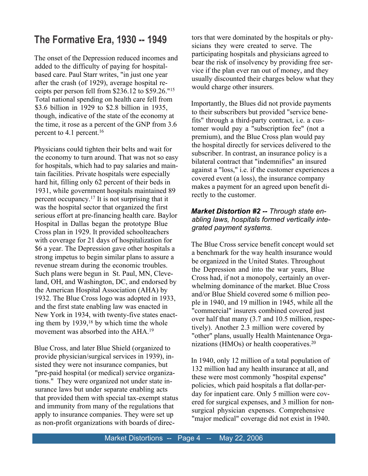# **The Formative Era, 1930 -- 1949**

The onset of the Depression reduced incomes and added to the difficulty of paying for hospital based care. Paul Starr writes, "in just one year after the crash (of 1929), average hospital re ceipts per person fell from \$236.12 to \$59.26."15 Total national spending on health care fell from \$3.6 billion in 1929 to \$2.8 billion in 1935, though, indicative of the state of the economy at the time, it rose as a percent of the GNP from 3.6 percent to 4.1 percent.16

Physicians could tighten their belts and wait for the economy to turn around. That was not so easy for hospitals, which had to pay salaries and main tain facilities. Private hospitals were especially hard hit, filling only 62 percent of their beds in 1931, while government hospitals maintained 89 percent occupancy.17 It is not surprising that it was the hospital sector that organized the first serious effort at pre-financing health care. Baylor Hospital in Dallas began the prototype Blue Cross plan in 1929. It provided schoolteachers with coverage for 21 days of hospitalization for \$6 a year. The Depression gave other hospitals a strong impetus to begin similar plans to assure a revenue stream during the economic troubles. Such plans were begun in St. Paul, MN, Cleve land, OH, and Washington, DC, and endorsed by the American Hospital Association (AHA) by 1932. The Blue Cross logo was adopted in 1933, and the first state enabling law was enacted in New York in 1934, with twenty-five states enact ing them by 1939,18 by which time the whole movement was absorbed into the AHA.19

Blue Cross, and later Blue Shield (organized to provide physician/surgical services in 1939), in sisted they were not insurance companies, but "pre-paid hospital (or medical) service organiza tions." They were organized not under state in surance laws but under separate enabling acts that provided them with special tax-exempt status and immunity from many of the regulations that apply to insurance companies. They were set up as non-profit organizations with boards of directors that were dominated by the hospitals or phy sicians they were created to serve. The participating hospitals and physicians agreed to bear the risk of insolvency by providing free ser vice if the plan ever ran out of money, and they usually discounted their charges below what they would charge other insurers.

Importantly, the Blues did not provide payments to their subscribers but provided "service bene fits" through a third-party contract, i.e. a cus tomer would pay a "subscription fee" (not a premium), and the Blue Cross plan would pay the hospital directly for services delivered to the subscriber. In contrast, an insurance policy is a bilateral contract that "indemnifies" an insured against a "loss," i.e. if the customer experiences a covered event (a loss), the insurance company makes a payment for an agreed upon benefit di rectly to the customer.

### *Market Distortion #2 -- Through state en abling laws, hospitals formed vertically inte grated payment systems.*

The Blue Cross service benefit concept would set a benchmark for the way health insurance would be organized in the United States. Throughout the Depression and into the war years, Blue Cross had, if not a monopoly, certainly an over whelming dominance of the market. Blue Cross and/or Blue Shield covered some 6 million peo ple in 1940, and 19 million in 1945, while all the "commercial" insurers combined covered just over half that many (3.7 and 10.5 million, respec tively). Another 2.3 million were covered by "other" plans, usually Health Maintenance Orga nizations (HMOs) or health cooperatives.20

In 1940, only 12 million of a total population of 132 million had any health insurance at all, and these were most commonly "hospital expense" policies, which paid hospitals a flat dollar-per day for inpatient care. Only 5 million were cov ered for surgical expenses, and 3 million for non surgical physician expenses. Comprehensive "major medical" coverage did not exist in 1940.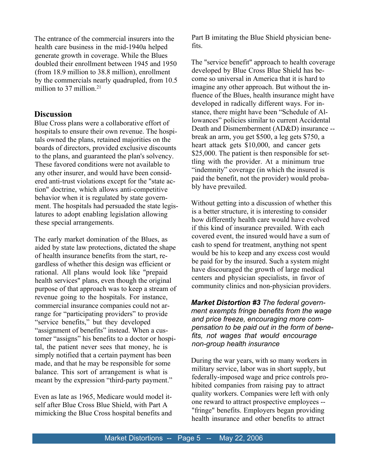The entrance of the commercial insurers into the health care business in the mid-1940a helped generate growth in coverage. While the Blues doubled their enrollment between 1945 and 1950 (from 18.9 million to 38.8 million), enrollment by the commercials nearly quadrupled, from 10.5 million to 37 million.<sup>21</sup>

#### **Discussion**

Blue Cross plans were a collaborative effort of hospitals to ensure their own revenue. The hospitals owned the plans, retained majorities on the boards of directors, provided exclusive discounts to the plans, and guaranteed the plan's solvency. These favored conditions were not available to any other insurer, and would have been consid ered anti-trust violations except for the "state ac tion" doctrine, which allows anti-competitive behavior when it is regulated by state govern ment. The hospitals had persuaded the state legis latures to adopt enabling legislation allowing these special arrangements.

The early market domination of the Blues, as aided by state law protections, dictated the shape of health insurance benefits from the start, re gardless of whether this design was efficient or rational. All plans would look like "prepaid health services" plans, even though the original purpose of that approach was to keep a stream of revenue going to the hospitals. For instance, commercial insurance companies could not ar range for "participating providers" to provide "service benefits," but they developed "assignment of benefits" instead. When a cus tomer "assigns" his benefits to a doctor or hospi tal, the patient never sees that money, he is simply notified that a certain payment has been made, and that he may be responsible for some balance. This sort of arrangement is what is meant by the expression "third-party payment."

Even as late as 1965, Medicare would model it self after Blue Cross Blue Shield, with Part A mimicking the Blue Cross hospital benefits and Part B imitating the Blue Shield physician bene fits.

The "service benefit" approach to health coverage developed by Blue Cross Blue Shield has be come so universal in America that it is hard to imagine any other approach. But without the in fluence of the Blues, health insurance might have developed in radically different ways. For in stance, there might have been "Schedule of Al lowances" policies similar to current Accidental Death and Dismemberment (AD&D) insurance - break an arm, you get \$500, a leg gets \$750, a heart attack gets \$10,000, and cancer gets \$25,000. The patient is then responsible for settling with the provider. At a minimum true "indemnity" coverage (in which the insured is paid the benefit, not the provider) would proba bly have prevailed.

Without getting into a discussion of whether this is a better structure, it is interesting to consider how differently health care would have evolved if this kind of insurance prevailed. With each covered event, the insured would have a sum of cash to spend for treatment, anything not spent would be his to keep and any excess cost would be paid for by the insured. Such a system might have discouraged the growth of large medical centers and physician specialists, in favor of community clinics and non-physician providers.

*Market Distortion #3The federal govern ment exempts fringe benefits from the wage and price freeze, encouraging more com pensation to be paid out in the form of bene fits, not wages that would encourage non-group health insurance*

During the war years, with so many workers in military service, labor was in short supply, but federally-imposed wage and price controls pro hibited companies from raising pay to attract quality workers. Companies were left with only one reward to attract prospective employees -- "fringe" benefits. Employers began providing health insurance and other benefits to attract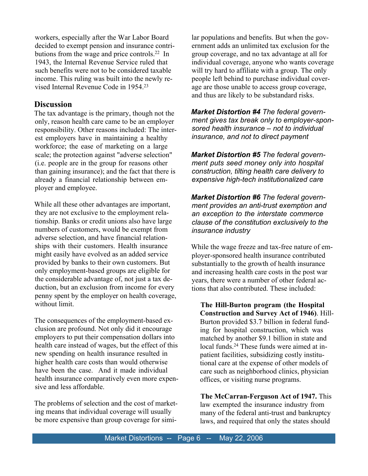workers, especially after the War Labor Board decided to exempt pension and insurance contri butions from the wage and price controls.22 In 1943, the Internal Revenue Service ruled that such benefits were not to be considered taxable income. This ruling was built into the newly re vised Internal Revenue Code in 1954.23

### **Discussion**

The tax advantage is the primary, though not the only, reason health care came to be an employer responsibility. Other reasons included: The inter est employers have in maintaining a healthy workforce; the ease of marketing on a large scale; the protection against "adverse selection" (i.e. people are in the group for reasons other than gaining insurance); and the fact that there is already a financial relationship between em ployer and employee.

While all these other advantages are important, they are not exclusive to the employment rela tionship. Banks or credit unions also have large numbers of customers, would be exempt from adverse selection, and have financial relation ships with their customers. Health insurance might easily have evolved as an added service provided by banks to their own customers. But only employment-based groups are eligible for the considerable advantage of, not just a tax de duction, but an exclusion from income for every penny spent by the employer on health coverage, without limit.

The consequences of the employment-based ex clusion are profound. Not only did it encourage employers to put their compensation dollars into health care instead of wages, but the effect of this new spending on health insurance resulted in higher health care costs than would otherwise have been the case. And it made individual health insurance comparatively even more expen sive and less affordable.

The problems of selection and the cost of market ing means that individual coverage will usually be more expensive than group coverage for similar populations and benefits. But when the gov ernment adds an unlimited tax exclusion for the group coverage, and no tax advantage at all for individual coverage, anyone who wants coverage will try hard to affiliate with a group. The only people left behind to purchase individual cover age are those unable to access group coverage, and thus are likely to be substandard risks.

*Market Distortion #4 The federal govern ment gives tax break only to employer-spon sored health insurance – not to individual insurance, and not to direct payment*

*Market Distortion #5The federal govern ment puts seed money only into hospital construction, tilting health care delivery to expensive high-tech institutionalized care*

*Market Distortion #6The federal govern ment provides an anti-trust exemption and an exception to the interstate commerce clause of the constitution exclusively to the insurance industry*

While the wage freeze and tax-free nature of em ployer-sponsored health insurance contributed substantially to the growth of health insurance and increasing health care costs in the post war years, there were a number of other federal ac tions that also contributed. These included:

**The Hill-Burton program (the Hospital Construction and Survey Act of 1946)**. Hill- Burton provided \$3.7 billion in federal fund ing for hospital construction, which was matched by another \$9.1 billion in state and local funds.<sup>24</sup> These funds were aimed at inpatient facilities, subsidizing costly institu tional care at the expense of other models of care such as neighborhood clinics, physician offices, or visiting nurse programs.

**The McCarran-Ferguson Act of 1947.** This law exempted the insurance industry from many of the federal anti-trust and bankruptcy laws, and required that only the states should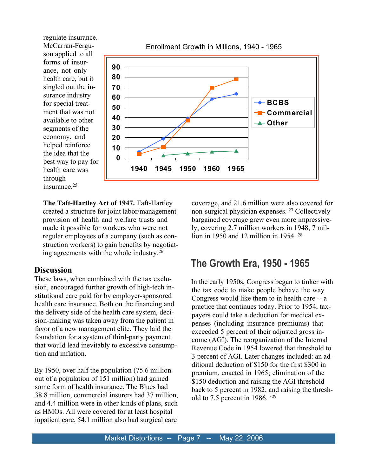regulate insurance. McCarran-Fergu son applied to all forms of insur ance, not only health care, but it singled out the in surance industry for special treat ment that was not available to other segments of the economy, and helped reinforce the idea that the best way to pay for health care was through insurance.25



Enrollment Growth in Millions, 1940 - 1965

**The Taft-Hartley Act of 1947.** Taft-Hartley created a structure for joint labor/management provision of health and welfare trusts and made it possible for workers who were not regular employees of a company (such as con struction workers) to gain benefits by negotiat ing agreements with the whole industry.26

#### **Discussion**

These laws, when combined with the tax exclu sion, encouraged further growth of high-tech in stitutional care paid for by employer-sponsored health care insurance. Both on the financing and the delivery side of the health care system, deci sion-making was taken away from the patient in favor of a new management elite. They laid the foundation for a system of third-party payment that would lead inevitably to excessive consump tion and inflation.

By 1950, over half the population (75.6 million out of a population of 151 million) had gained some form of health insurance. The Blues had 38.8 million, commercial insurers had 37 million, and 4.4 million were in other kinds of plans, such as HMOs. All were covered for at least hospital inpatient care, 54.1 million also had surgical care coverage, and 21.6 million were also covered for non-surgical physician expenses.27 Collectively bargained coverage grew even more impressive ly, covering 2.7 million workers in 1948, 7 mil lion in 1950 and 12 million in 1954.28

### **The Growth Era, 1950 - 1965**

In the early 1950s, Congress began to tinker with the tax code to make people behave the way Congress would like them to in health care -- a practice that continues today. Prior to 1954, tax payers could take a deduction for medical ex penses (including insurance premiums) that exceeded 5 percent of their adjusted gross in come (AGI). The reorganization of the Internal Revenue Code in 1954 lowered that threshold to 3 percent of AGI. Later changes included: an ad ditional deduction of \$150 for the first \$300 in premium, enacted in 1965; elimination of the \$150 deduction and raising the AGI threshold back to 5 percent in 1982; and raising the thresh old to 7.5 percent in 1986.  $329$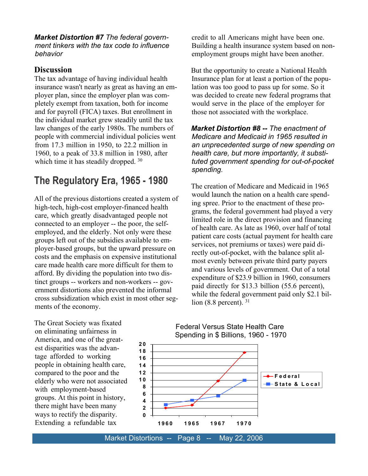*Market Distortion #7The federal govern ment tinkers with the tax code to influence behavior*

### **Discussion**

The tax advantage of having individual health insurance wasn't nearly as great as having an em ployer plan, since the employer plan was com pletely exempt from taxation, both for income and for payroll (FICA) taxes. But enrollment in the individual market grew steadily until the tax law changes of the early 1980s. The numbers of people with commercial individual policies went from 17.3 million in 1950, to 22.2 million in 1960, to a peak of 33.8 million in 1980, after which time it has steadily dropped.<sup>30</sup>

## **The Regulatory Era, 1965 - 1980**

All of the previous distortions created a system of high-tech, high-cost employer-financed health care, which greatly disadvantaged people not connected to an employer -- the poor, the self employed, and the elderly. Not only were these groups left out of the subsidies available to em ployer-based groups, but the upward pressure on costs and the emphasis on expensive institutional care made health care more difficult for them to afford. By dividing the population into two dis tinct groups -- workers and non-workers -- gov ernment distortions also prevented the informal cross subsidization which exist in most other seg ments of the economy.

credit to all Americans might have been one. Building a health insurance system based on non employment groups might have been another.

But the opportunity to create a National Health Insurance plan for at least a portion of the popu lation was too good to pass up for some. So it was decided to create new federal programs that would serve in the place of the employer for those not associated with the workplace.

*Market Distortion #8 -- The enactment of Medicare and Medicaid in 1965 resulted in an unprecedented surge of new spending on health care, but more importantly, it substi tuted government spending for out-of-pocket spending.*

The creation of Medicare and Medicaid in 1965 would launch the nation on a health care spend ing spree. Prior to the enactment of these pro grams, the federal government had played a very limited role in the direct provision and financing of health care. As late as 1960, over half of total patient care costs (actual payment for health care services, not premiums or taxes) were paid di rectly out-of-pocket, with the balance split al most evenly between private third party payers and various levels of government. Out of a total expenditure of \$23.9 billion in 1960, consumers paid directly for \$13.3 billion (55.6 percent), while the federal government paid only \$2.1 billion  $(8.8 \text{ percent})$ . 31

The Great Society was fixated on eliminating unfairness in America, and one of the great est disparities was the advan tage afforded to working people in obtaining health care, compared to the poor and the elderly who were not associated with employment-based groups. At this point in history, there might have been many ways to rectify the disparity. Extending a refundable tax

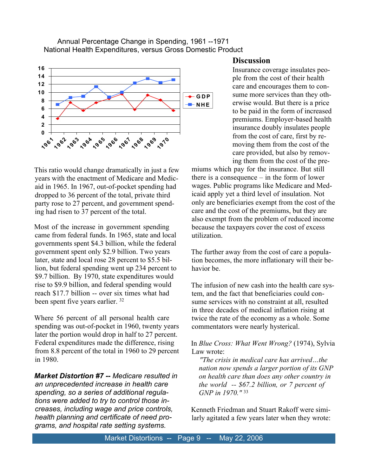Annual Percentage Change in Spending, 1961 --1971 National Health Expenditures, versus Gross Domestic Product



This ratio would change dramatically in just a few years with the enactment of Medicare and Medic aid in 1965. In 1967, out-of-pocket spending had dropped to 36 percent of the total, private third party rose to 27 percent, and government spend ing had risen to 37 percent of the total.

Most of the increase in government spending came from federal funds. In 1965, state and local governments spent \$4.3 billion, while the federal government spent only \$2.9 billion. Two years later, state and local rose 28 percent to \$5.5 bil lion, but federal spending went up 234 percent to \$9.7 billion. By 1970, state expenditures would rise to \$9.9 billion, and federal spending would reach \$17.7 billion -- over six times what had been spent five years earlier.<sup>32</sup>

Where 56 percent of all personal health care spending was out-of-pocket in 1960, twenty years later the portion would drop in half to 27 percent. Federal expenditures made the difference, rising from 8.8 percent of the total in 1960 to 29 percent in 1980.

*Market Distortion #7 -- Medicare resulted in an unprecedented increase in health care spending, so a series of additional regula tions were added to try to control those in creases, including wage and price controls, health planning and certificate of need pro grams, and hospital rate setting systems.*

#### **Discussion**

Insurance coverage insulates peo ple from the cost of their health care and encourages them to con sume more services than they oth erwise would. But there is a price to be paid in the form of increased premiums. Employer-based health insurance doubly insulates people from the cost of care, first by re moving them from the cost of the care provided, but also by remov ing them from the cost of the pre-

miums which pay for the insurance. But still there is a consequence – in the form of lower wages. Public programs like Medicare and Med icaid apply yet a third level of insulation. Not only are beneficiaries exempt from the cost of the care and the cost of the premiums, but they are also exempt from the problem of reduced income because the taxpayers cover the cost of excess utilization.

The further away from the cost of care a popula tion becomes, the more inflationary will their be havior be.

The infusion of new cash into the health care sys tem, and the fact that beneficiaries could con sume services with no constraint at all, resulted in three decades of medical inflation rising at twice the rate of the economy as a whole. Some commentators were nearly hysterical.

In*Blue Cross: What Went Wrong?* (1974), Sylvia Law wrote:

*"The crisis in medical care has arrived…the nation now spends a larger portion of its GNP on health care than does any other country in the world -- \$67.2 billion, or 7 percent of GNP in 1970."*33

Kenneth Friedman and Stuart Rakoff were simi larly agitated a few years later when they wrote: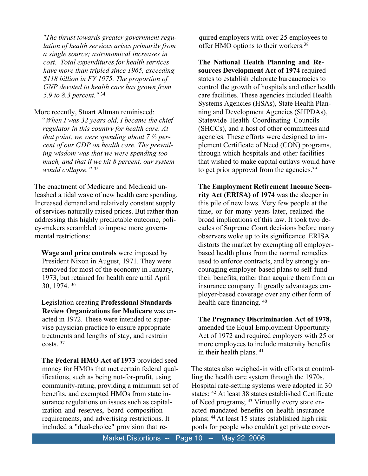*"The thrust towards greater government regu lation of health services arises primarily from a single source; astronomical increases in cost. Total expenditures for health services have more than tripled since 1965, exceeding \$118 billion in FY 1975. The proportion of GNP devoted to health care has grown from 5.9 to 8.3 percent."*34

More recently, Stuart Altman reminisced:

"*When I was 32 years old, I became the chief regulator in this country for health care. At that point, we were spending about 7 ½ per cent of our GDP on health care. The prevail ing wisdom was that we were spending too much, and that if we hit 8 percent, our system would collapse."*35

The enactment of Medicare and Medicaid un leashed a tidal wave of new health care spending. Increased demand and relatively constant supply of services naturally raised prices. But rather than addressing this highly predictable outcome, poli cy-makers scrambled to impose more govern mental restrictions:

**Wage and price controls**were imposed by President Nixon in August, 1971. They were removed for most of the economy in January, 1973, but retained for health care until April 30, 1974.36

Legislation creating**Professional Standards Review Organizations for Medicare** was en acted in 1972. These were intended to super vise physician practice to ensure appropriate treatments and lengths of stay, and restrain costs<sup>37</sup>

**The Federal HMO Act of 1973** provided seed money for HMOs that met certain federal qual ifications, such as being not-for-profit, using community-rating, providing a minimum set of benefits, and exempted HMOs from state in surance regulations on issues such as capital ization and reserves, board composition requirements, and advertising restrictions. It included a "dual-choice" provision that required employers with over 25 employees to offer HMO options to their workers.38

**The National Health Planning and Re sources Development Act of 1974 required** states to establish elaborate bureaucracies to control the growth of hospitals and other health care facilities. These agencies included Health Systems Agencies (HSAs), State Health Plan ning and Development Agencies (SHPDAs), Statewide Health Coordinating Councils (SHCCs), and a host of other committees and agencies. These efforts were designed to im plement Certificate of Need (CON) programs, through which hospitals and other facilities that wished to make capital outlays would have to get prior approval from the agencies.<sup>39</sup>

**The Employment Retirement Income Secu rity Act (ERISA) of 1974** was the sleeper in this pile of new laws. Very few people at the time, or for many years later, realized the broad implications of this law. It took two de cades of Supreme Court decisions before many observers woke up to its significance. ERISA distorts the market by exempting all employer based health plans from the normal remedies used to enforce contracts, and by strongly en couraging employer-based plans to self-fund their benefits, rather than acquire them from an insurance company. It greatly advantages em ployer-based coverage over any other form of health care financing.  $40$ 

**The Pregnancy Discrimination Act of 1978,** amended the Equal Employment Opportunity Act of 1972 and required employers with 25 or more employees to include maternity benefits in their health plans.  $41$ 

The states also weighed-in with efforts at control ling the health care system through the 1970s. Hospital rate-setting systems were adopted in 30 states;42 At least 38 states established Certificate of Need programs; <sup>43</sup> Virtually every state enacted mandated benefits on health insurance plans;44At least 15 states established high risk pools for people who couldn't get private cover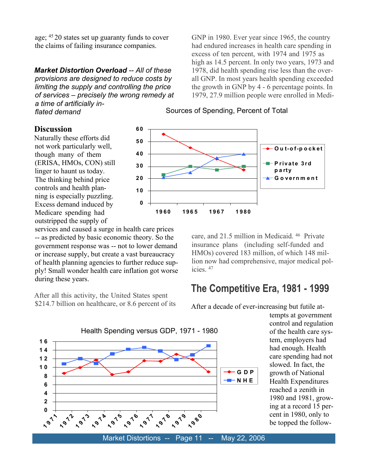age;4520 states set up guaranty funds to cover the claims of failing insurance companies.

*Market Distortion Overload -- All of these provisions are designed to reduce costs by limiting the supply and controlling the price of services – precisely the wrong remedy at a time of artificially in flated demand*

GNP in 1980. Ever year since 1965, the country had endured increases in health care spending in excess of ten percent, with 1974 and 1975 as high as 14.5 percent. In only two years, 1973 and 1978, did health spending rise less than the over all GNP. In most years health spending exceeded the growth in GNP by 4 - 6 percentage points. In 1979, 27.9 million people were enrolled in Medi-

#### **Discussion**

Naturally these efforts did not work particularly well, though many of them (ERISA, HMOs, CON) still linger to haunt us today. The thinking behind price controls and health plan ning is especially puzzling. Excess demand induced by Medicare spending had outstripped the supply of

services and caused a surge in health care prices -- as predicted by basic economic theory. So the government response was -- not to lower demand or increase supply, but create a vast bureaucracy of health planning agencies to further reduce sup ply! Small wonder health care inflation got worse during these years.

After all this activity, the United States spent \$214.7 billion on healthcare, or 8.6 percent of its



care, and 21.5 million in Medicaid.46 Private insurance plans (including self-funded and HMOs) covered 183 million, of which 148 mil lion now had comprehensive, major medical pol icies.47

## **The Competitive Era, 1981 - 1999**

After a decade of ever-increasing but futile at-

Health Spending versus GDP, 1971 - 1980 **0 2 4 6 8 1 0 1 2 1 4 1 6 11**<br>**11**<br>**1 1**  $\frac{1}{2}$   $\frac{1}{2}$ **1**  $\frac{1}{2}$ **15 1 1916 1 <sup>9</sup> <sup>7</sup> <sup>7</sup> 1 <sup>9</sup> <sup>7</sup> <sup>8</sup> 1 <sup>9</sup> <sup>7</sup> <sup>9</sup> 1 <sup>9</sup> <sup>8</sup> <sup>0</sup> G D P N H E** 

tempts at government control and regulation of the health care sys tem, employers had had enough. Health care spending had not slowed. In fact, the growth of National Health Expenditures reached a zenith in 1980 and 1981, grow ing at a record 15 per cent in 1980, only to be topped the follow-

#### Sources of Spending, Percent of Total

Market Distortions -- Page 11 -- May 22, 2006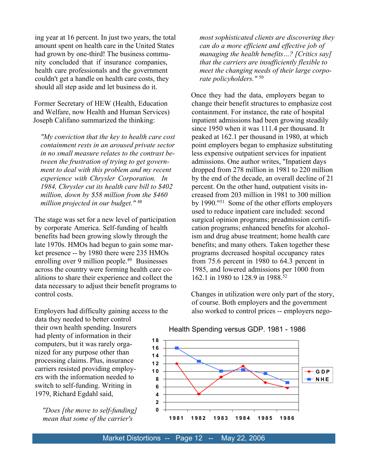ing year at 16 percent. In just two years, the total amount spent on health care in the United States had grown by one-third! The business commu nity concluded that if insurance companies, health care professionals and the government couldn't get a handle on health care costs, they should all step aside and let business do it.

Former Secretary of HEW (Health, Education and Welfare, now Health and Human Services) Joseph Califano summarized the thinking:

*"My conviction that the key to health care cost containment rests in an aroused private sector in no small measure relates to the contrast be tween the frustration of trying to get govern ment to deal with this problem and my recent experience with Chrysler Corporation. In 1984, Chrysler cut its health care bill to \$402 million, down by \$58 million from the \$460 million projected in our budget."*48

The stage was set for a new level of participation by corporate America. Self-funding of health benefits had been growing slowly through the late 1970s. HMOs had begun to gain some mar ket presence -- by 1980 there were 235 HMOs enrolling over 9 million people.<sup>49</sup> Businesses across the country were forming health care co alitions to share their experience and collect the data necessary to adjust their benefit programs to control costs.

Employers had difficulty gaining access to the data they needed to better control their own health spending. Insurers had plenty of information in their computers, but it was rarely orga nized for any purpose other than processing claims. Plus, insurance carriers resisted providing employ ers with the information needed to switch to self-funding. Writing in 1979, Richard Egdahl said,

*"Does [the move to self-funding] mean that some of the carrier's*

*most sophisticated clients are discovering they can do a more efficient and effective job of managing the health benefits…? [Critics say] that the carriers are insufficiently flexible to meet the changing needs of their large corpo rate policyholders."*50

Once they had the data, employers began to change their benefit structures to emphasize cost containment. For instance, the rate of hospital inpatient admissions had been growing steadily since 1950 when it was 111.4 per thousand. It peaked at 162.1 per thousand in 1980, at which point employers began to emphasize substituting less expensive outpatient services for inpatient admissions. One author writes, "Inpatient days dropped from 278 million in 1981 to 220 million by the end of the decade, an overall decline of 21 percent. On the other hand, outpatient visits in creased from 203 million in 1981 to 300 million by 1990."51 Some of the other efforts employers used to reduce inpatient care included: second surgical opinion programs; preadmission certifi cation programs; enhanced benefits for alcohol ism and drug abuse treatment; home health care benefits; and many others. Taken together these programs decreased hospital occupancy rates from 75.6 percent in 1980 to 64.3 percent in 1985, and lowered admissions per 1000 from 162.1 in 1980 to 128.9 in 1988.<sup>52</sup>

Changes in utilization were only part of the story, of course. Both employers and the government also worked to control prices -- employers nego-



#### Health Spending versus GDP. 1981 - 1986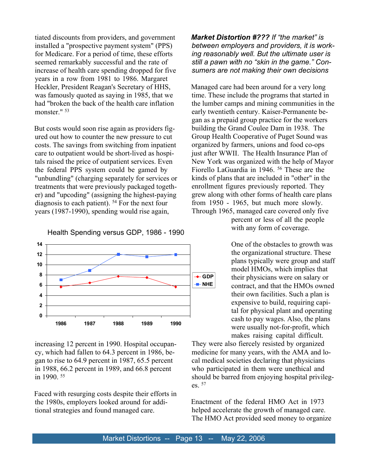tiated discounts from providers, and government installed a "prospective payment system" (PPS) for Medicare. For a period of time, these efforts seemed remarkably successful and the rate of increase of health care spending dropped for five years in a row from 1981 to 1986. Margaret Heckler, President Reagan's Secretary of HHS, was famously quoted as saying in 1985, that we had "broken the back of the health care inflation monster<sup>" 53</sup>

But costs would soon rise again as providers fig ured out how to counter the new pressure to cut costs. The savings from switching from inpatient care to outpatient would be short-lived as hospi tals raised the price of outpatient services. Even the federal PPS system could be gamed by "unbundling" (charging separately for services or treatments that were previously packaged togeth er) and "upcoding" (assigning the highest-paying diagnosis to each patient).  $54$  For the next four years (1987-1990), spending would rise again,

Health Spending versus GDP, 1986 - 1990



increasing 12 percent in 1990. Hospital occupan cy, which had fallen to 64.3 percent in 1986, be gan to rise to 64.9 percent in 1987, 65.5 percent in 1988, 66.2 percent in 1989, and 66.8 percent in 1990.<sup>55</sup>

Faced with resurging costs despite their efforts in the 1980s, employers looked around for addi tional strategies and found managed care.

*Market Distortion #??? If "the market" is between employers and providers, it is work ing reasonably well. But the ultimate user is still a pawn with no "skin in the game." Con sumers are not making their own decisions*

Managed care had been around for a very long time. These include the programs that started in the lumber camps and mining communities in the early twentieth century. Kaiser-Permanente be gan as a prepaid group practice for the workers building the Grand Coulee Dam in 1938. The Group Health Cooperative of Puget Sound was organized by farmers, unions and food co-ops just after WWII. The Health Insurance Plan of New York was organized with the help of Mayor Fiorello LaGuardia in 1946.<sup>56</sup> These are the kinds of plans that are included in "other" in the enrollment figures previously reported. They grew along with other forms of health care plans from 1950 - 1965, but much more slowly. Through 1965, managed care covered only five

percent or less of all the people with any form of coverage.

One of the obstacles to growth was the organizational structure. These plans typically were group and staff model HMOs, which implies that their physicians were on salary or contract, and that the HMOs owned their own facilities. Such a plan is expensive to build, requiring capi tal for physical plant and operating cash to pay wages. Also, the plans were usually not-for-profit, which makes raising capital difficult.

They were also fiercely resisted by organized medicine for many years, with the AMA and lo cal medical societies declaring that physicians who participated in them were unethical and should be barred from enjoying hospital privileg es $.57$ 

Enactment of the federal HMO Act in 1973 helped accelerate the growth of managed care. The HMO Act provided seed money to organize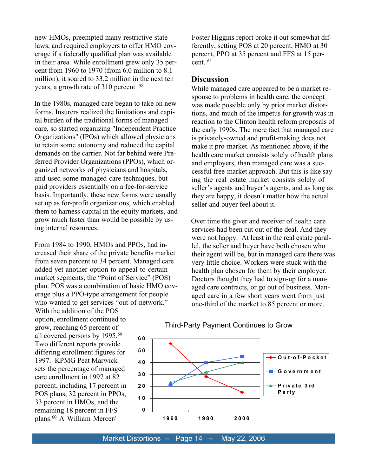new HMOs, preempted many restrictive state laws, and required employers to offer HMO cov erage if a federally qualified plan was available in their area. While enrollment grew only 35 per cent from 1960 to 1970 (from 6.0 million to 8.1 million), it soared to 33.2 million in the next ten years, a growth rate of 310 percent.<sup>58</sup>

In the 1980s, managed care began to take on new forms. Insurers realized the limitations and capi tal burden of the traditional forms of managed care, so started organizing "Independent Practice Organizations" (IPOs) which allowed physicians to retain some autonomy and reduced the capital demands on the carrier. Not far behind were Pre ferred Provider Organizations (PPOs), which or ganized networks of physicians and hospitals, and used some managed care techniques, but paid providers essentially on a fee-for-service basis. Importantly, these new forms were usually set up as for-profit organizations, which enabled them to harness capital in the equity markets, and grow much faster than would be possible by us ing internal resources.

From 1984 to 1990, HMOs and PPOs, had in creased their share of the private benefits market from seven percent to 34 percent. Managed care added yet another option to appeal to certain market segments, the "Point of Service" (POS) plan. POS was a combination of basic HMO cov erage plus a PPO-type arrangement for people who wanted to get services "out-of-network."

With the addition of the POS option, enrollment continued to grow, reaching 65 percent of all covered persons by 1995.59 Two different reports provide differing enrollment figures for 1997. KPMG Peat Marwick sets the percentage of managed care enrollment in 1997 at 82 percent, including 17 percent in POS plans, 32 percent in PPOs, 33 percent in HMOs, and the remaining 18 percent in FFS plans.60 A William Mercer/

Foster Higgins report broke it out somewhat dif ferently, setting POS at 20 percent, HMO at 30 percent, PPO at 35 percent and FFS at 15 per cent<sup>61</sup>

#### **Discussion**

While managed care appeared to be a market re sponse to problems in health care, the concept was made possible only by prior market distor tions, and much of the impetus for growth was in reaction to the Clinton health reform proposals of the early 1990s. The mere fact that managed care is privately-owned and profit-making does not make it pro-market. As mentioned above, if the health care market consists solely of health plans and employers, than managed care was a suc cessful free-market approach. But this is like say ing the real estate market consists solely of seller's agents and buyer's agents, and as long as they are happy, it doesn't matter how the actual seller and buyer feel about it.

Over time the giver and receiver of health care services had been cut out of the deal. And they were not happy. At least in the real estate paral lel, the seller and buyer have both chosen who their agent will be, but in managed care there was very little choice. Workers were stuck with the health plan chosen for them by their employer. Doctors thought they had to sign-up for a man aged care contracts, or go out of business. Man aged care in a few short years went from just one-third of the market to 85 percent or more.



#### Third-Party Payment Continues to Grow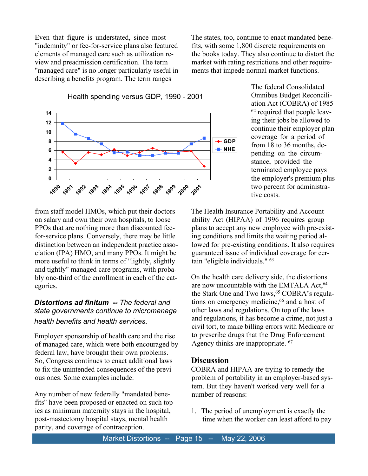Even that figure is understated, since most "indemnity" or fee-for-service plans also featured elements of managed care such as utilization re view and preadmission certification. The term "managed care" is no longer particularly useful in describing a benefits program. The term ranges

The states, too, continue to enact mandated bene fits, with some 1,800 discrete requirements on the books today. They also continue to distort the market with rating restrictions and other require ments that impede normal market functions.

Health spending versus GDP, 1990 - 2001



The federal Consolidated Omnibus Budget Reconcili ation Act (COBRA) of 1985 62 required that people leav ing their jobs be allowed to continue their employer plan coverage for a period of from 18 to 36 months, de pending on the circum stance, provided the terminated employee pays the employer's premium plus two percent for administra tive costs.

from staff model HMOs, which put their doctors on salary and own their own hospitals, to loose PPOs that are nothing more than discounted fee for-service plans. Conversely, there may be little distinction between an independent practice asso ciation (IPA) HMO, and many PPOs. It might be more useful to think in terms of "lightly, slightly and tightly" managed care programs, with proba bly one-third of the enrollment in each of the cat egories.

### *Distortions ad finitum -- The federal and state governments continue to micromanage health benefits and health services.*

Employer sponsorship of health care and the rise of managed care, which were both encouraged by federal law, have brought their own problems. So, Congress continues to enact additional laws to fix the unintended consequences of the previ ous ones. Some examples include:

Any number of new federally "mandated bene fits" have been proposed or enacted on such top ics as minimum maternity stays in the hospital, post-mastectomy hospital stays, mental health parity, and coverage of contraception.

The Health Insurance Portability and Account ability Act (HIPAA) of 1996 requires group plans to accept any new employee with pre-exist ing conditions and limits the waiting period al lowed for pre-existing conditions. It also requires guaranteed issue of individual coverage for cer tain "eligible individuals."63

On the health care delivery side, the distortions are now uncountable with the EMTALA Act.<sup>64</sup> the Stark One and Two laws,<sup>65</sup> COBRA's regulations on emergency medicine,<sup>66</sup> and a host of other laws and regulations. On top of the laws and regulations, it has become a crime, not just a civil tort, to make billing errors with Medicare or to prescribe drugs that the Drug Enforcement Agency thinks are inappropriate. <sup>67</sup>

#### **Discussion**

COBRA and HIPAA are trying to remedy the problem of portability in an employer-based sys tem. But they haven't worked very well for a number of reasons:

1.The period of unemployment is exactly the time when the worker can least afford to pay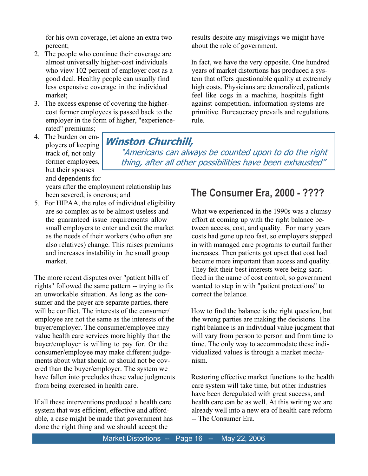for his own coverage, let alone an extra two percent;

- 2.The people who continue their coverage are almost universally higher-cost individuals who view 102 percent of employer cost as a good deal. Healthy people can usually find less expensive coverage in the individual market;
- 3.The excess expense of covering the higher cost former employees is passed back to the employer in the form of higher, "experience rated" premiums;
- 4. The burden on em- $\boxed{\text{Winstein Churchill}}$ ployers of keeping track of, not only former employees, but their spouses and dependents for

"Americans can always be counted upon to do the right thing, after all other possibilities have been exhausted"

rule.

years after the employment relationship has been severed, is onerous; and

5.For HIPAA, the rules of individual eligibility are so complex as to be almost useless and the guaranteed issue requirements allow small employers to enter and exit the market as the needs of their workers (who often are also relatives) change. This raises premiums and increases instability in the small group market.

The more recent disputes over "patient bills of rights" followed the same pattern -- trying to fix an unworkable situation. As long as the con sumer and the payer are separate parties, there will be conflict. The interests of the consumer/ employee are not the same as the interests of the buyer/employer. The consumer/employee may value health care services more highly than the buyer/employer is willing to pay for. Or the consumer/employee may make different judge ments about what should or should not be cov ered than the buyer/employer. The system we have fallen into precludes these value judgments from being exercised in health care.

If all these interventions produced a health care system that was efficient, effective and afford able, a case might be made that government has done the right thing and we should accept the

# **The Consumer Era, 2000 - ????**

results despite any misgivings we might have

In fact, we have the very opposite. One hundred years of market distortions has produced a sys tem that offers questionable quality at extremely high costs. Physicians are demoralized, patients feel like cogs in a machine, hospitals fight against competition, information systems are primitive. Bureaucracy prevails and regulations

about the role of government.

What we experienced in the 1990s was a clumsy effort at coming up with the right balance be tween access, cost, and quality. For many years costs had gone up too fast, so employers stepped in with managed care programs to curtail further increases. Then patients got upset that cost had become more important than access and quality. They felt their best interests were being sacri ficed in the name of cost control, so government wanted to step in with "patient protections" to correct the balance.

How to find the balance is the right question, but the wrong parties are making the decisions. The right balance is an individual value judgment that will vary from person to person and from time to time. The only way to accommodate these indi vidualized values is through a market mecha nism.

Restoring effective market functions to the health care system will take time, but other industries have been deregulated with great success, and health care can be as well. At this writing we are already well into a new era of health care reform -- The Consumer Era.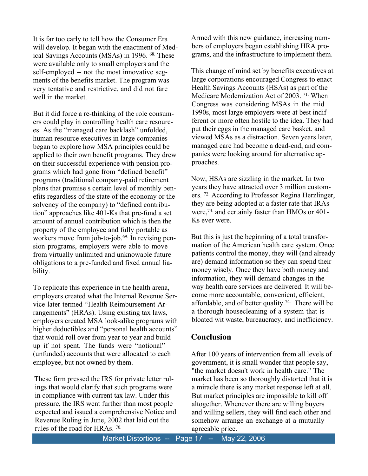It is far too early to tell how the Consumer Era will develop. It began with the enactment of Med ical Savings Accounts (MSAs) in 1996. <sup>68</sup> These were available only to small employers and the self-employed -- not the most innovative seg ments of the benefits market. The program was very tentative and restrictive, and did not fare well in the market.

But it did force a re-thinking of the role consum ers could play in controlling health care resourc es. As the "managed care backlash" unfolded, human resource executives in large companies began to explore how MSA principles could be applied to their own benefit programs. They drew on their successful experience with pension pro grams which had gone from "defined benefit" programs (traditional company-paid retirement plans that promise s certain level of monthly ben efits regardless of the state of the economy or the solvency of the company) to "defined contribu tion" approaches like 401-Ks that pre-fund a set amount of annual contribution which is then the property of the employee and fully portable as workers move from job-to-job.<sup>69.</sup> In revising pension programs, employers were able to move from virtually unlimited and unknowable future obligations to a pre-funded and fixed annual lia bility.

To replicate this experience in the health arena, employers created what the Internal Revenue Ser vice later termed "Health Reimbursement Ar rangements" (HRAs). Using existing tax laws, employers created MSA look-alike programs with higher deductibles and "personal health accounts" that would roll over from year to year and build up if not spent. The funds were "notional" (unfunded) accounts that were allocated to each employee, but not owned by them.

These firm pressed the IRS for private letter rul ings that would clarify that such programs were in compliance with current tax law. Under this pressure, the IRS went further than most people expected and issued a comprehensive Notice and Revenue Ruling in June, 2002 that laid out the rules of the road for HRAs. <sup>70.</sup>

Armed with this new guidance, increasing num bers of employers began establishing HRA pro grams, and the infrastructure to implement them.

This change of mind set by benefits executives at large corporations encouraged Congress to enact Health Savings Accounts (HSAs) as part of the Medicare Modernization Act of 2003.<sup>71.</sup> When Congress was considering MSAs in the mid 1990s, most large employers were at best indif ferent or more often hostile to the idea. They had put their eggs in the managed care basket, and viewed MSAs as a distraction. Seven years later, managed care had become a dead-end, and com panies were looking around for alternative ap proaches.

Now, HSAs are sizzling in the market. In two years they have attracted over 3 million custom ers.72. According to Professor Regina Herzlinger, they are being adopted at a faster rate that IRAs were,73. and certainly faster than HMOs or 401- Ks ever were.

But this is just the beginning of a total transfor mation of the American health care system. Once patients control the money, they will (and already are) demand information so they can spend their money wisely. Once they have both money and information, they will demand changes in the way health care services are delivered. It will be come more accountable, convenient, efficient, affordable, and of better quality.74. There will be a thorough housecleaning of a system that is bloated wit waste, bureaucracy, and inefficiency.

### **Conclusion**

After 100 years of intervention from all levels of government, it is small wonder that people say, "the market doesn't work in health care." The market has been so thoroughly distorted that it is a miracle there is any market response left at all. But market principles are impossible to kill off altogether. Whenever there are willing buyers and willing sellers, they will find each other and somehow arrange an exchange at a mutually agreeable price.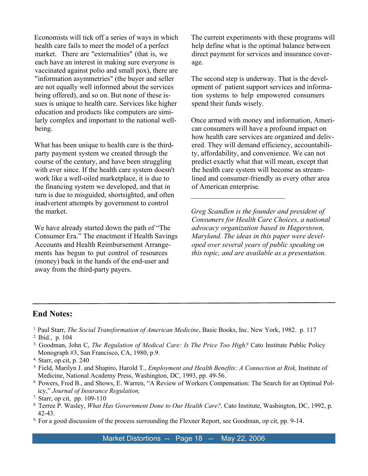Economists will tick off a series of ways in which health care fails to meet the model of a perfect market. There are "externalities" (that is, we each have an interest in making sure everyone is vaccinated against polio and small pox), there are "information asymmetries" (the buyer and seller are not equally well informed about the services being offered), and so on. But none of these is sues is unique to health care. Services like higher education and products like computers are simi larly complex and important to the national well being.

What has been unique to health care is the third party payment system we created through the course of the century, and have been struggling with ever since. If the health care system doesn't work like a well-oiled marketplace, it is due to the financing system we developed, and that in turn is due to misguided, shortsighted, and often inadvertent attempts by government to control the market.

We have already started down the path of "The Consumer Era." The enactment if Health Savings Accounts and Health Reimbursement Arrange ments has begun to put control of resources (money) back in the hands of the end-user and away from the third-party payers.

The current experiments with these programs will help define what is the optimal balance between direct payment for services and insurance cover age.

The second step is underway. That is the devel opment of patient support services and informa tion systems to help empowered consumers spend their funds wisely.

Once armed with money and information, Ameri can consumers will have a profound impact on how health care services are organized and deliv ered. They will demand efficiency, accountabili ty, affordability, and convenience. We can not predict exactly what that will mean, except that the health care system will become as stream lined and consumer-friendly as every other area of American enterprise.

*Greg Scandlen is the founder and president of Consumers for Health Care Choices, a national advocacy organization based in Hagerstown, Maryland. The ideas in this paper were devel oped over several years of public speaking on this topic, and are available as a presentation.*

 $\overline{\phantom{a}}$  , where  $\overline{\phantom{a}}$  , where  $\overline{\phantom{a}}$  , where  $\overline{\phantom{a}}$  , where  $\overline{\phantom{a}}$ 

### **End Notes:**

- 1.Paul Starr,*The Social Transformation of American Medicine*, Basic Books, Inc. New York, 1982. p. 117
- 2. Ibid., p. 104
- 3. Goodman, John C,*The Regulation of Medical Care: Is The Price Too High?* Cato Institute Public Policy Monograph #3, San Francisco, CA, 1980, p.9.
- 4. Starr, op.cit, p. 240
- 5. Field, Marilyn J. and Shapiro, Harold T.,*Employment and Health Benefits: A Connection at Risk,* Institute of Medicine, National Academy Press, Washington, DC, 1993, pp. 49-56.
- 6. Powers, Fred B., and Shows, E. Warren, "A Review of Workers Compensation: The Search for an Optimal Pol icy,"*Journal of Insurance Regulation,*

- 8. Terree P. Wasley, *What Has Government Done to Our Health Care?,* Cato Institute, Washington, DC, 1992, p. 42-43.
- 9. For a good discussion of the process surrounding the Flexner Report, see Goodman, op cit, pp. 9-14.

<sup>7.</sup> Starr, op cit, pp. 109-110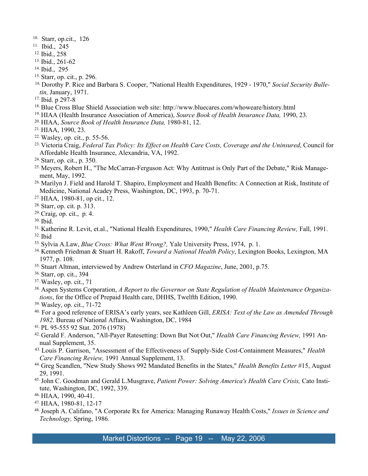- 10. Starr, op.cit., 126
- 11. Ibid., 245
- 12.Ibid., 258
- 13.Ibid., 261-62
- 14.Ibid., 295
- 15.Starr, op. cit., p. 296.
- 16.Dorothy P. Rice and Barbara S. Cooper, "National Health Expenditures, 1929 1970,"*Social Security Bulle tin,* January, 1971.
- 17.Ibid. p 297-8
- 18.Blue Cross Blue Shield Association web site: http://www.bluecares.com/whoweare/history.html
- 19.HIAA (Health Insurance Association of America), *Source Book of Health Insurance Data,*1990, 23.
- 20.HIAA,*Source Book of Health Insurance Data,*1980-81, 12.
- 21.HIAA, 1990, 23.
- 22.Wasley, op. cit., p. 55-56.
- 23.Victoria Craig,*Federal Tax Policy: Its Effect on Health Care Costs, Coverage and the Uninsured*, Council for Affordable Health Insurance, Alexandria, VA, 1992.
- 24.Starr, op. cit., p. 350.
- <sup>25.</sup> Meyers, Robert H., "The McCarran-Ferguson Act: Why Antitrust is Only Part of the Debate," Risk Management, May, 1992.
- 26.Marilyn J. Field and Harold T. Shapiro, Employment and Health Benefits: A Connection at Risk, Institute of Medicine, National Acadey Press, Washington, DC, 1993, p. 70-71.
- 27.HIAA, 1980-81, op cit., 12.
- 28.Starr, op. cit. p. 313.
- 29.Craig, op. cit., p. 4.
- 30.Ibid.
- 31.Katherine R. Levit, et.al., "National Health Expenditures, 1990,"*Health Care Financing Review,* Fall, 1991. 32.Ibid
- 33.Sylvia A.Law, *Blue Cross: What Went Wrong?,* Yale University Press, 1974, p. 1.
- 34.Kenneth Friedman & Stuart H. Rakoff,*Toward a National Health Policy*, Lexington Books, Lexington, MA 1977, p. 108.
- 35.Stuart Altman, interviewed by Andrew Osterland in*CFO Magazine*, June, 2001, p.75.
- 36.Starr, op. cit., 394
- 37.Wasley, op. cit., 71
- 38.Aspen Systems Corporation,*A Report to the Governor on State Regulation of Health Maintenance Organiza tions*, for the Office of Prepaid Health care, DHHS, Twelfth Edition, 1990.
- 39.Wasley, op. cit., 71-72
- 40. For a good reference of ERISA's early years, see Kathleen Gill,*ERISA: Text of the Law as Amended Through 1982*. Bureau of National Affairs, Washington, DC, 1984
- 41.PL 95-555 92 Stat. 2076 (1978)
- 42.Gerald F. Anderson, "All-Payer Ratesetting: Down But Not Out," *Health Care Financing Review,* 1991 An nual Supplement, 35.
- 43.Louis P. Garrison, "Assessment of the Effectiveness of Supply-Side Cost-Containment Measures,"*Health Care Financing Review,* 1991 Annual Supplement, 13.
- 44.Greg Scandlen, "New Study Shows 992 Mandated Benefits in the States," *Health Benefits Letter* #15, August 29, 1991.
- 45.John C. Goodman and Gerald L.Musgrave,*Patient Power: Solving America's Health Care Crisis,* Cato Insti tute, Washington, DC, 1992, 339.
- 46.HIAA, 1990, 40-41.
- 47.HIAA, 1980-81, 12-17
- 48.Joseph A. Califano, "A Corporate Rx for America: Managing Runaway Health Costs,"*Issues in Science and Technology,* Spring, 1986.